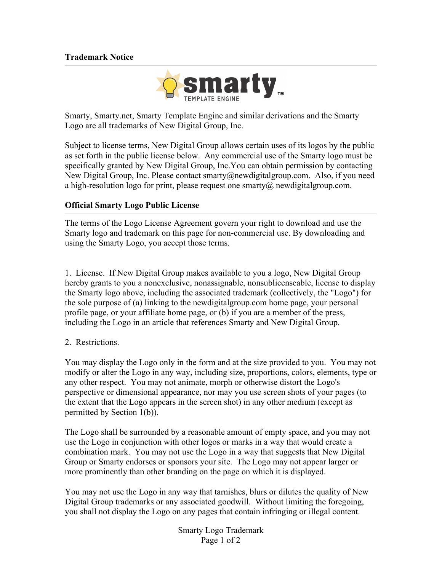## **Trademark Notice**



Smarty, Smarty.net, Smarty Template Engine and similar derivations and the Smarty Logo are all trademarks of New Digital Group, Inc.

Subject to license terms, New Digital Group allows certain uses of its logos by the public as set forth in the public license below. Any commercial use of the Smarty logo must be specifically granted by New Digital Group, Inc.You can obtain permission by contacting New Digital Group, Inc. Please contact smarty@newdigitalgroup.com. Also, if you need a high-resolution logo for print, please request one smarty $\omega$  newdigital group.com.

## **Official Smarty Logo Public License**

The terms of the Logo License Agreement govern your right to download and use the Smarty logo and trademark on this page for non-commercial use. By downloading and using the Smarty Logo, you accept those terms.

1. License. If New Digital Group makes available to you a logo, New Digital Group hereby grants to you a nonexclusive, nonassignable, nonsublicenseable, license to display the Smarty logo above, including the associated trademark (collectively, the "Logo") for the sole purpose of (a) linking to the newdigitalgroup.com home page, your personal profile page, or your affiliate home page, or (b) if you are a member of the press, including the Logo in an article that references Smarty and New Digital Group.

## 2. Restrictions.

You may display the Logo only in the form and at the size provided to you. You may not modify or alter the Logo in any way, including size, proportions, colors, elements, type or any other respect. You may not animate, morph or otherwise distort the Logo's perspective or dimensional appearance, nor may you use screen shots of your pages (to the extent that the Logo appears in the screen shot) in any other medium (except as permitted by Section 1(b)).

The Logo shall be surrounded by a reasonable amount of empty space, and you may not use the Logo in conjunction with other logos or marks in a way that would create a combination mark. You may not use the Logo in a way that suggests that New Digital Group or Smarty endorses or sponsors your site. The Logo may not appear larger or more prominently than other branding on the page on which it is displayed.

You may not use the Logo in any way that tarnishes, blurs or dilutes the quality of New Digital Group trademarks or any associated goodwill. Without limiting the foregoing, you shall not display the Logo on any pages that contain infringing or illegal content.

> Smarty Logo Trademark Page 1 of 2